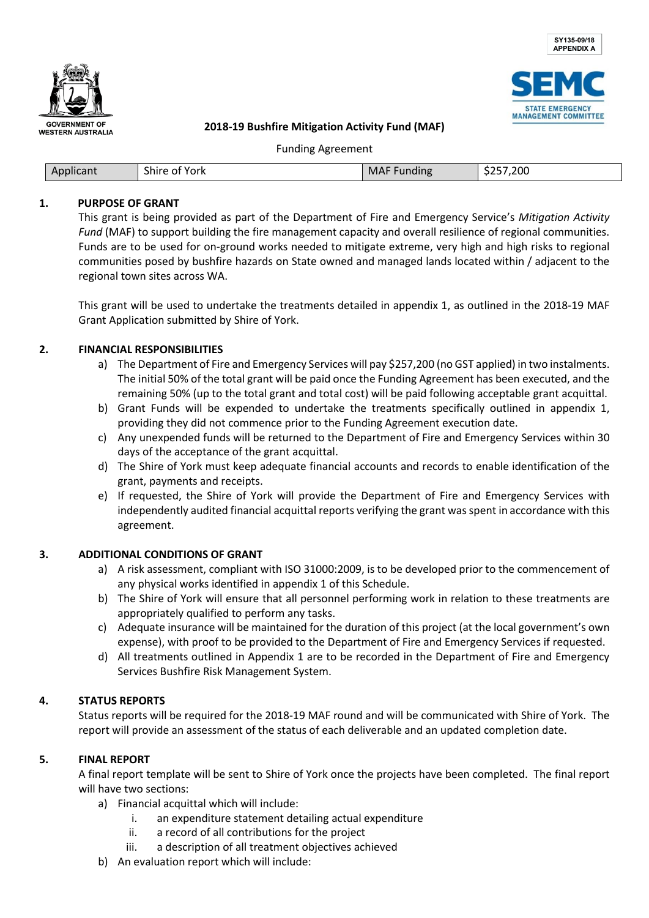





#### **2018-19 Bushfire Mitigation Activity Fund (MAF)**

Funding Agreement

| Applicant | $-1$<br>.<br>Shire of York<br>____ | MAFF<br>Funding | \$257,200<br>ـ عد |
|-----------|------------------------------------|-----------------|-------------------|

#### **1. PURPOSE OF GRANT**

This grant is being provided as part of the Department of Fire and Emergency Service's *Mitigation Activity Fund* (MAF) to support building the fire management capacity and overall resilience of regional communities. Funds are to be used for on-ground works needed to mitigate extreme, very high and high risks to regional communities posed by bushfire hazards on State owned and managed lands located within / adjacent to the regional town sites across WA.

This grant will be used to undertake the treatments detailed in appendix 1, as outlined in the 2018-19 MAF Grant Application submitted by Shire of York.

#### **2. FINANCIAL RESPONSIBILITIES**

- a) The Department of Fire and Emergency Services will pay \$257,200 (no GST applied) in two instalments. The initial 50% of the total grant will be paid once the Funding Agreement has been executed, and the remaining 50% (up to the total grant and total cost) will be paid following acceptable grant acquittal.
- b) Grant Funds will be expended to undertake the treatments specifically outlined in appendix 1, providing they did not commence prior to the Funding Agreement execution date.
- c) Any unexpended funds will be returned to the Department of Fire and Emergency Services within 30 days of the acceptance of the grant acquittal.
- d) The Shire of York must keep adequate financial accounts and records to enable identification of the grant, payments and receipts.
- e) If requested, the Shire of York will provide the Department of Fire and Emergency Services with independently audited financial acquittal reports verifying the grant was spent in accordance with this agreement.

#### **3. ADDITIONAL CONDITIONS OF GRANT**

- a) A risk assessment, compliant with ISO 31000:2009, is to be developed prior to the commencement of any physical works identified in appendix 1 of this Schedule.
- b) The Shire of York will ensure that all personnel performing work in relation to these treatments are appropriately qualified to perform any tasks.
- c) Adequate insurance will be maintained for the duration of this project (at the local government's own expense), with proof to be provided to the Department of Fire and Emergency Services if requested.
- d) All treatments outlined in Appendix 1 are to be recorded in the Department of Fire and Emergency Services Bushfire Risk Management System.

## **4. STATUS REPORTS**

Status reports will be required for the 2018-19 MAF round and will be communicated with Shire of York. The report will provide an assessment of the status of each deliverable and an updated completion date.

## **5. FINAL REPORT**

A final report template will be sent to Shire of York once the projects have been completed. The final report will have two sections:

- a) Financial acquittal which will include:
	- i. an expenditure statement detailing actual expenditure
	- ii. a record of all contributions for the project
	- iii. a description of all treatment objectives achieved
- b) An evaluation report which will include: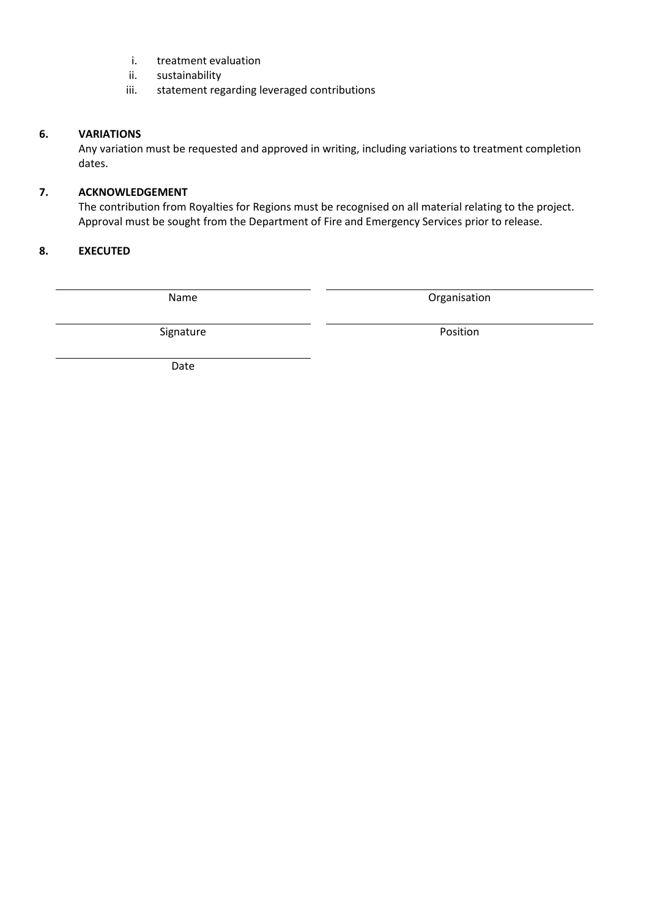- i. treatment evaluation
- ii. sustainability
- iii. statement regarding leveraged contributions

## **6. VARIATIONS**

Any variation must be requested and approved in writing, including variations to treatment completion dates.

## **7. ACKNOWLEDGEMENT**

The contribution from Royalties for Regions must be recognised on all material relating to the project. Approval must be sought from the Department of Fire and Emergency Services prior to release.

## **8. EXECUTED**

Name **Name Organisation** 

Signature **Position** 

Date